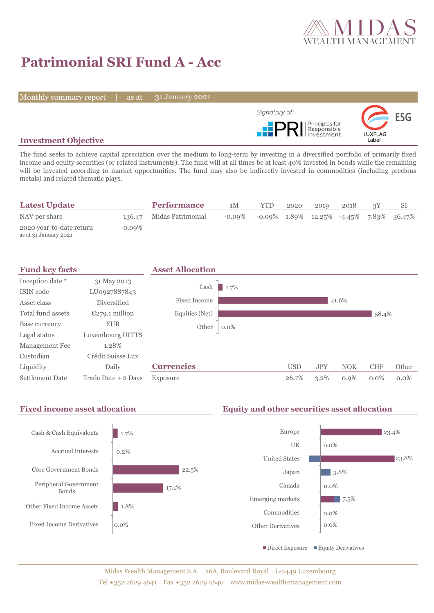

# **Patrimonial SRI Fund A - Acc**

Monthly summary report | as at

31 January 2021



# **Investment Objective**

The fund seeks to achieve capital apreciation over the medium to long-term by investing in a diversified portfolio of primarily fixed income and equity securities (or related instruments). The fund will at all times be at least 40% invested in bonds while the remaining will be invested according to market opportunities. The fund may also be indirectly invested in commodities (including precious metals) and related thematic plays.

|           | <b>Performance</b> | 1М                       | <b>YTD</b> | 2020 | 2019 | 2018 |                                               |
|-----------|--------------------|--------------------------|------------|------|------|------|-----------------------------------------------|
|           |                    | $-0.09\%$                |            |      |      |      |                                               |
| $-0.09\%$ |                    |                          |            |      |      |      |                                               |
|           |                    | 136.47 Midas Patrimonial |            |      |      |      | $-0.09\%$ 1.89% 12.25% $-4.45\%$ 7.83% 36.47% |



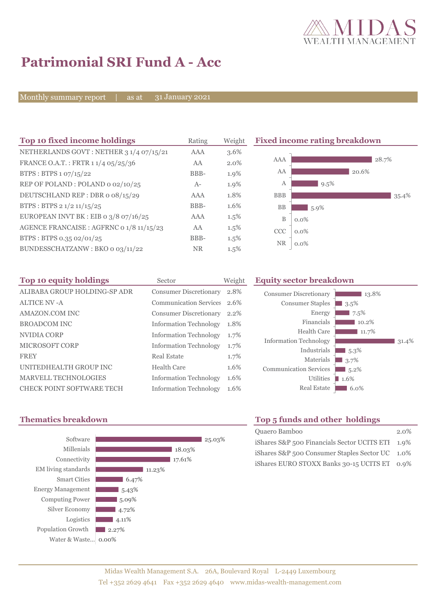

# **Patrimonial SRI Fund A - Acc**

Monthly summary report | as at

31 January 2021

| Top 10 fixed income holdings                       | Rating    | Weight  | <b>Fixed income rating breakdown</b> |         |       |       |
|----------------------------------------------------|-----------|---------|--------------------------------------|---------|-------|-------|
| NETHERLANDS GOVT: NETHER 3 1/4 07/15/21            | AAA       | 3.6%    |                                      |         |       |       |
| FRANCE O.A.T.: FRTR 1 1/4 05/25/36                 | AA        | 2.0%    | AAA                                  |         |       | 28.7% |
| BTPS: BTPS 1 07/15/22                              | BBB-      | 1.9%    | AA                                   |         | 20.6% |       |
| REP OF POLAND: POLAND 0 02/10/25                   | $A-$      | 1.9%    | А                                    | 9.5%    |       |       |
| DEUTSCHLAND REP: DBR o 08/15/29                    | AAA       | 1.8%    | <b>BBB</b>                           |         |       | 35.4% |
| BTPS : BTPS $2 \frac{1}{2} \frac{11}{15} \cdot 25$ | BBB-      | 1.6%    | <b>BB</b>                            | $5.9\%$ |       |       |
| EUROPEAN INVT BK : EIB o $3/8$ o7/16/25            | AAA       | $1.5\%$ | B                                    | $0.0\%$ |       |       |
| AGENCE FRANCAISE : AGFRNC 0 1/8 11/15/23           | AA        | $1.5\%$ | <b>CCC</b>                           | $0.0\%$ |       |       |
| BTPS: BTPS 0.35 02/01/25                           | BBB-      | $1.5\%$ |                                      |         |       |       |
| BUNDESSCHATZANW: BKO 0 03/11/22                    | <b>NR</b> | $1.5\%$ | <b>NR</b>                            | $0.0\%$ |       |       |

| Top 10 equity holdings       | Sector                        | Weight  |
|------------------------------|-------------------------------|---------|
| ALIBABA GROUP HOLDING-SP ADR | <b>Consumer Discretionary</b> | 2.8%    |
| <b>ALTICE NV-A</b>           | <b>Communication Services</b> | 2.6%    |
| AMAZON.COM INC               | <b>Consumer Discretionary</b> | $2.2\%$ |
| <b>BROADCOM INC</b>          | <b>Information Technology</b> | 1.8%    |
| NVIDIA CORP                  | <b>Information Technology</b> | 1.7%    |
| MICROSOFT CORP               | <b>Information Technology</b> | 1.7%    |
| <b>FREY</b>                  | Real Estate                   | 1.7%    |
| UNITEDHEALTH GROUP INC       | Health Care                   | 1.6%    |
| <b>MARVELL TECHNOLOGIES</b>  | <b>Information Technology</b> | 1.6%    |
| CHECK POINT SOFTWARE TECH    | <b>Information Technology</b> | 1.6%    |

### **Equity sector breakdown**





# **Thematics breakdown Top 5 funds and other holdings**

| Quaero Bamboo                                    | $2.0\%$ |
|--------------------------------------------------|---------|
| iShares S&P 500 Financials Sector UCITS ETI 1.9% |         |
| iShares S&P 500 Consumer Staples Sector UC 1.0%  |         |
| iShares EURO STOXX Banks 30-15 UCITS ET 0.9%     |         |